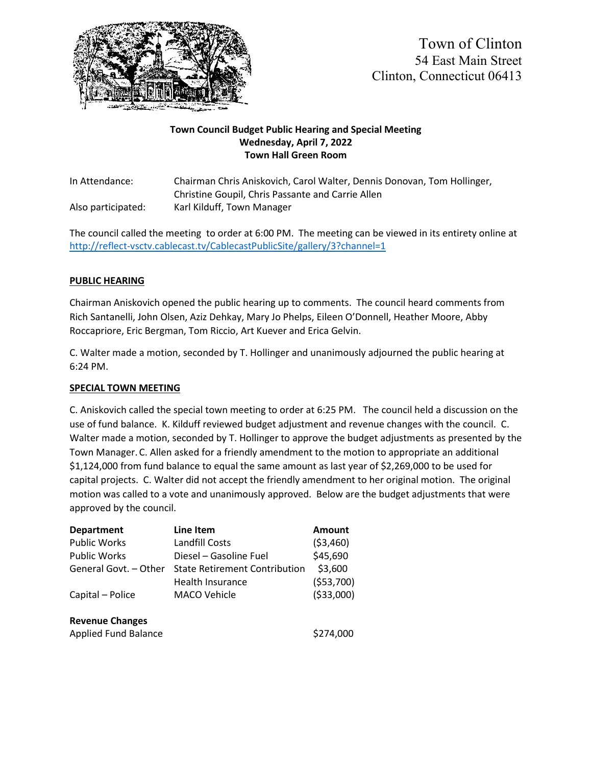

### **Town Council Budget Public Hearing and Special Meeting Wednesday, April 7, 2022 Town Hall Green Room**

In Attendance: Chairman Chris Aniskovich, Carol Walter, Dennis Donovan, Tom Hollinger, Christine Goupil, Chris Passante and Carrie Allen Also participated: Karl Kilduff, Town Manager

The council called the meeting to order at 6:00 PM. The meeting can be viewed in its entirety online at <http://reflect-vsctv.cablecast.tv/CablecastPublicSite/gallery/3?channel=1>

## **PUBLIC HEARING**

Chairman Aniskovich opened the public hearing up to comments. The council heard comments from Rich Santanelli, John Olsen, Aziz Dehkay, Mary Jo Phelps, Eileen O'Donnell, Heather Moore, Abby Roccapriore, Eric Bergman, Tom Riccio, Art Kuever and Erica Gelvin.

C. Walter made a motion, seconded by T. Hollinger and unanimously adjourned the public hearing at 6:24 PM.

#### **SPECIAL TOWN MEETING**

C. Aniskovich called the special town meeting to order at 6:25 PM. The council held a discussion on the use of fund balance. K. Kilduff reviewed budget adjustment and revenue changes with the council. C. Walter made a motion, seconded by T. Hollinger to approve the budget adjustments as presented by the Town Manager. C. Allen asked for a friendly amendment to the motion to appropriate an additional \$1,124,000 from fund balance to equal the same amount as last year of \$2,269,000 to be used for capital projects. C. Walter did not accept the friendly amendment to her original motion. The original motion was called to a vote and unanimously approved. Below are the budget adjustments that were approved by the council.

| <b>Department</b>           | Line Item                            | <b>Amount</b> |
|-----------------------------|--------------------------------------|---------------|
| <b>Public Works</b>         | Landfill Costs                       | (53,460)      |
| <b>Public Works</b>         | Diesel - Gasoline Fuel               | \$45,690      |
| General Govt. - Other       | <b>State Retirement Contribution</b> | \$3,600       |
|                             | Health Insurance                     | ( \$53,700)   |
| Capital - Police            | <b>MACO Vehicle</b>                  | ( \$33,000)   |
| <b>Revenue Changes</b>      |                                      |               |
| <b>Applied Fund Balance</b> |                                      | \$274,000     |